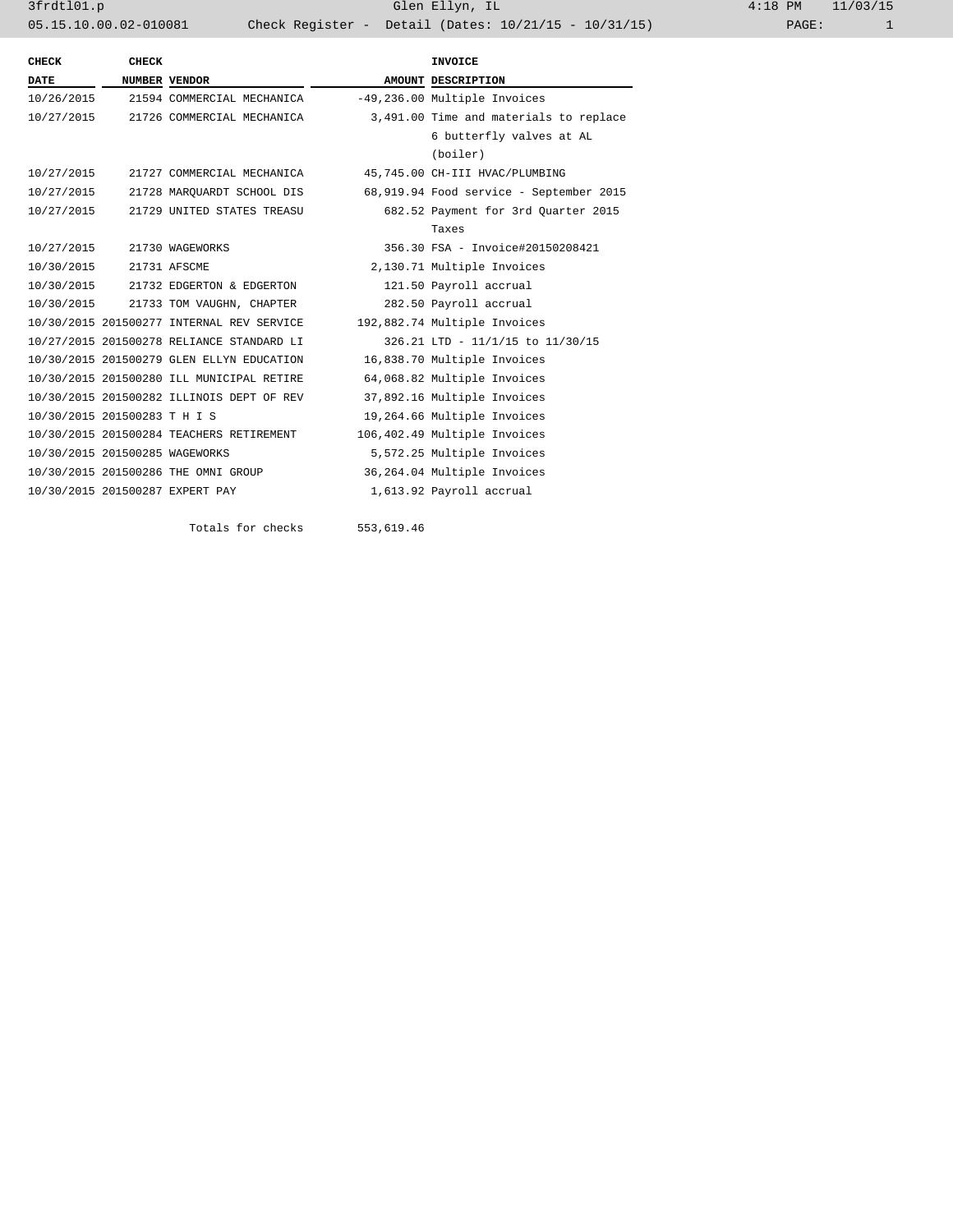3frdtl01.p Glen Ellyn, IL 4:18 PM 11/03/15 05.15.10.00.02-010081 Check Register - Detail (Dates: 10/21/15 - 10/31/15)

| <b>CHECK</b>                   | <b>CHECK</b> |                                           | <b>INVOICE</b>                          |
|--------------------------------|--------------|-------------------------------------------|-----------------------------------------|
| <b>DATE</b>                    |              | NUMBER VENDOR                             | AMOUNT DESCRIPTION                      |
|                                |              | 10/26/2015 21594 COMMERCIAL MECHANICA     | -49,236.00 Multiple Invoices            |
|                                |              | 10/27/2015 21726 COMMERCIAL MECHANICA     | 3,491.00 Time and materials to replace  |
|                                |              |                                           | 6 butterfly valves at AL                |
|                                |              |                                           | (boiler)                                |
| 10/27/2015                     |              | 21727 COMMERCIAL MECHANICA                | 45,745.00 CH-III HVAC/PLUMBING          |
| 10/27/2015                     |              | 21728 MARQUARDT SCHOOL DIS                | 68,919.94 Food service - September 2015 |
| 10/27/2015                     |              | 21729 UNITED STATES TREASU                | 682.52 Payment for 3rd Ouarter 2015     |
|                                |              |                                           | Taxes                                   |
| 10/27/2015                     |              | 21730 WAGEWORKS                           | 356.30 FSA - Invoice#20150208421        |
| 10/30/2015 21731 AFSCME        |              |                                           | 2,130.71 Multiple Invoices              |
|                                |              | 10/30/2015 21732 EDGERTON & EDGERTON      | 121.50 Payroll accrual                  |
|                                |              | 10/30/2015 21733 TOM VAUGHN, CHAPTER      | 282.50 Payroll accrual                  |
|                                |              | 10/30/2015 201500277 INTERNAL REV SERVICE | 192,882.74 Multiple Invoices            |
|                                |              | 10/27/2015 201500278 RELIANCE STANDARD LI | 326.21 LTD - 11/1/15 to 11/30/15        |
|                                |              | 10/30/2015 201500279 GLEN ELLYN EDUCATION | 16,838.70 Multiple Invoices             |
|                                |              | 10/30/2015 201500280 ILL MUNICIPAL RETIRE | 64,068.82 Multiple Invoices             |
|                                |              | 10/30/2015 201500282 ILLINOIS DEPT OF REV | 37,892.16 Multiple Invoices             |
| 10/30/2015 201500283 T H I S   |              |                                           | 19,264.66 Multiple Invoices             |
|                                |              | 10/30/2015 201500284 TEACHERS RETIREMENT  | 106,402.49 Multiple Invoices            |
| 10/30/2015 201500285 WAGEWORKS |              |                                           | 5,572.25 Multiple Invoices              |
|                                |              | 10/30/2015 201500286 THE OMNI GROUP       | 36,264.04 Multiple Invoices             |
|                                |              | 10/30/2015 201500287 EXPERT PAY           | 1,613.92 Payroll accrual                |
|                                |              |                                           |                                         |

Totals for checks 553,619.46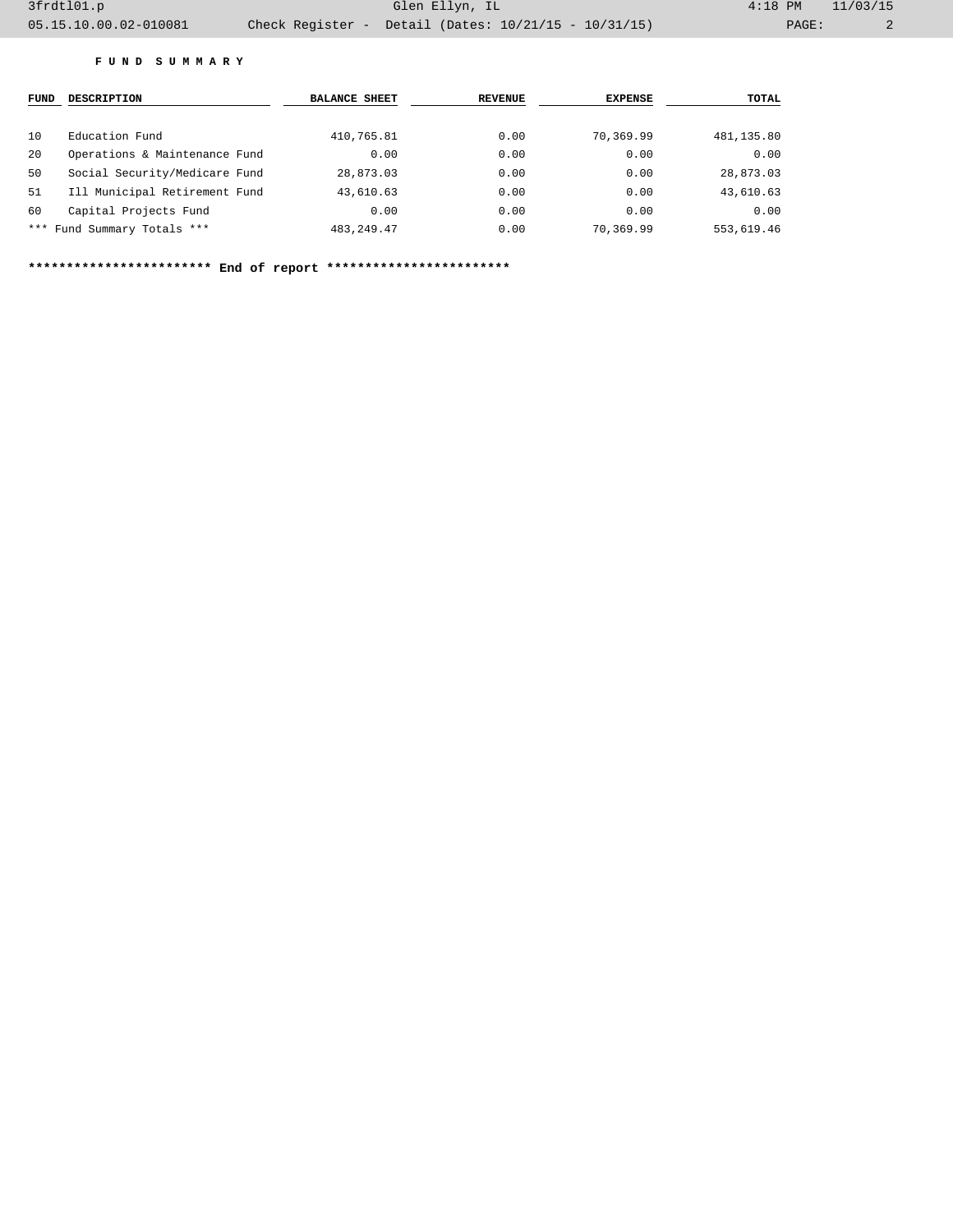## **F U N D S U M M A R Y**

| <b>FUND</b> | <b>DESCRIPTION</b>            | <b>BALANCE SHEET</b> | <b>REVENUE</b> | <b>EXPENSE</b> | TOTAL      |
|-------------|-------------------------------|----------------------|----------------|----------------|------------|
| 10          | Education Fund                | 410,765.81           | 0.00           | 70,369.99      | 481,135.80 |
| 20          | Operations & Maintenance Fund | 0.00                 | 0.00           | 0.00           | 0.00       |
| 50          | Social Security/Medicare Fund | 28,873.03            | 0.00           | 0.00           | 28,873.03  |
| 51          | Ill Municipal Retirement Fund | 43,610.63            | 0.00           | 0.00           | 43,610.63  |
| 60          | Capital Projects Fund         | 0.00                 | 0.00           | 0.00           | 0.00       |
|             | *** Fund Summary Totals ***   | 483, 249, 47         | 0.00           | 70,369.99      | 553,619.46 |

**\*\*\*\*\*\*\*\*\*\*\*\*\*\*\*\*\*\*\*\*\*\*\*\* End of report \*\*\*\*\*\*\*\*\*\*\*\*\*\*\*\*\*\*\*\*\*\*\*\***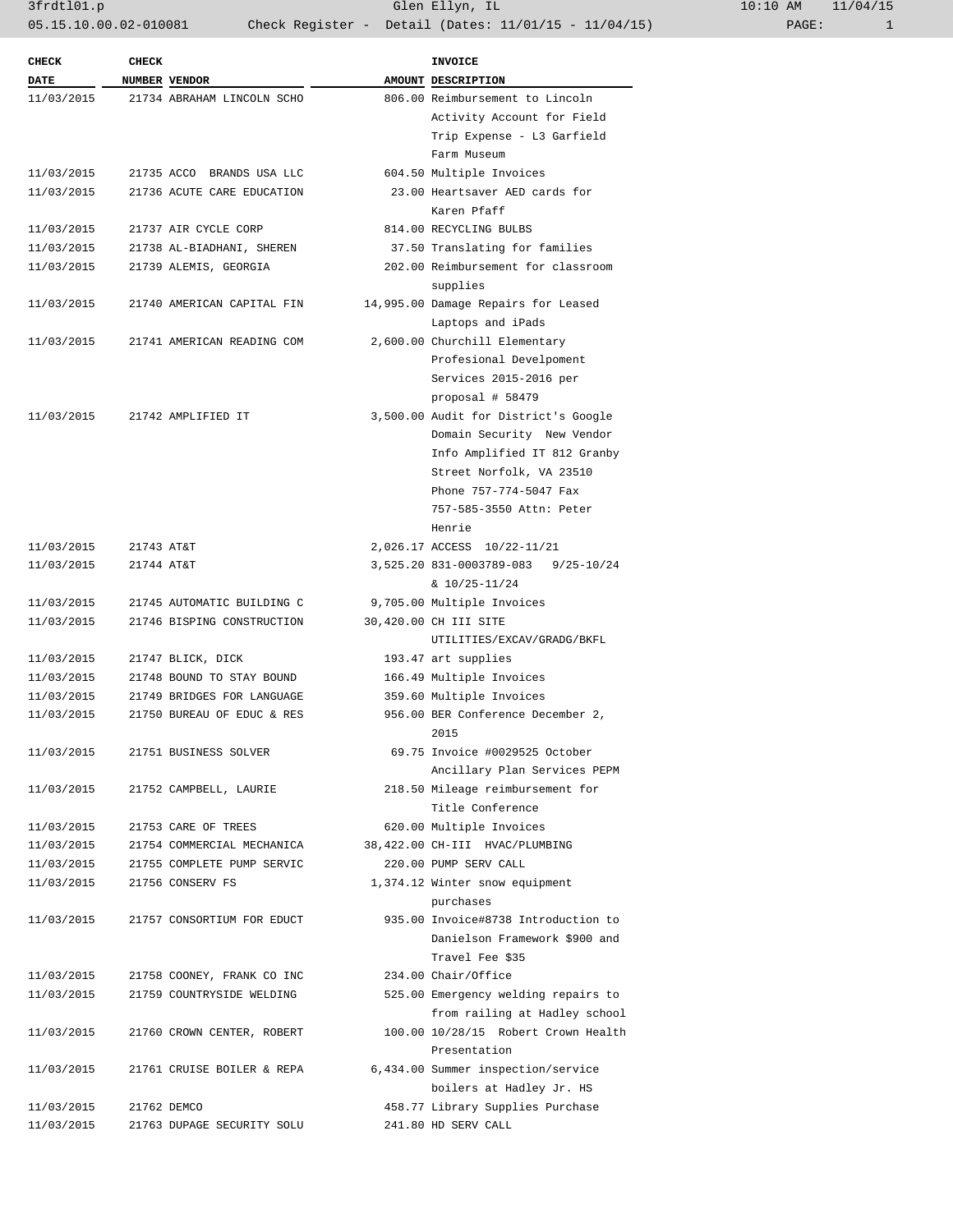3frdtl01.p Glen Ellyn, IL 10:10 AM 11/04/15 05.15.10.00.02-010081 Check Register - Detail (Dates: 11/01/15 - 11/04/15)

| <b>CHECK</b><br><b>DATE</b> | <b>CHECK</b><br>NUMBER VENDOR | <b>INVOICE</b><br>AMOUNT DESCRIPTION |
|-----------------------------|-------------------------------|--------------------------------------|
| 11/03/2015                  | 21734 ABRAHAM LINCOLN SCHO    | 806.00 Reimbursement to Lincoln      |
|                             |                               | Activity Account for Field           |
|                             |                               | Trip Expense - L3 Garfield           |
|                             |                               | Farm Museum                          |
| 11/03/2015                  | 21735 ACCO BRANDS USA LLC     | 604.50 Multiple Invoices             |
| 11/03/2015                  | 21736 ACUTE CARE EDUCATION    | 23.00 Heartsaver AED cards for       |
|                             |                               | Karen Pfaff                          |
| 11/03/2015                  | 21737 AIR CYCLE CORP          | 814.00 RECYCLING BULBS               |
| 11/03/2015                  | 21738 AL-BIADHANI, SHEREN     | 37.50 Translating for families       |
| 11/03/2015                  | 21739 ALEMIS, GEORGIA         | 202.00 Reimbursement for classroom   |
|                             |                               | supplies                             |
| 11/03/2015                  | 21740 AMERICAN CAPITAL FIN    | 14,995.00 Damage Repairs for Leased  |
|                             |                               | Laptops and iPads                    |
| 11/03/2015                  | 21741 AMERICAN READING COM    | 2,600.00 Churchill Elementary        |
|                             |                               | Profesional Develpoment              |
|                             |                               | Services 2015-2016 per               |
|                             |                               | proposal # 58479                     |
| 11/03/2015                  | 21742 AMPLIFIED IT            | 3,500.00 Audit for District's Google |
|                             |                               | Domain Security New Vendor           |
|                             |                               | Info Amplified IT 812 Granby         |
|                             |                               | Street Norfolk, VA 23510             |
|                             |                               | Phone 757-774-5047 Fax               |
|                             |                               | 757-585-3550 Attn: Peter             |
|                             |                               | Henrie                               |
|                             |                               |                                      |
| 11/03/2015                  | 21743 AT&T                    | 2,026.17 ACCESS 10/22-11/21          |
| 11/03/2015                  | 21744 AT&T                    | 3,525.20 831-0003789-083 9/25-10/24  |
|                             |                               | $& 10/25 - 11/24$                    |
| 11/03/2015                  | 21745 AUTOMATIC BUILDING C    | 9,705.00 Multiple Invoices           |
| 11/03/2015                  | 21746 BISPING CONSTRUCTION    | 30,420.00 CH III SITE                |
|                             |                               | UTILITIES/EXCAV/GRADG/BKFL           |
| 11/03/2015                  | 21747 BLICK, DICK             | 193.47 art supplies                  |
| 11/03/2015                  | 21748 BOUND TO STAY BOUND     | 166.49 Multiple Invoices             |
| 11/03/2015                  | 21749 BRIDGES FOR LANGUAGE    | 359.60 Multiple Invoices             |
| 11/03/2015                  | 21750 BUREAU OF EDUC & RES    | 956.00 BER Conference December 2,    |
|                             |                               | 2015                                 |
| 11/03/2015                  | 21751 BUSINESS SOLVER         | 69.75 Invoice #0029525 October       |
|                             |                               | Ancillary Plan Services PEPM         |
| 11/03/2015                  | 21752 CAMPBELL, LAURIE        | 218.50 Mileage reimbursement for     |
|                             |                               | Title Conference                     |
| 11/03/2015                  | 21753 CARE OF TREES           | 620.00 Multiple Invoices             |
| 11/03/2015                  | 21754 COMMERCIAL MECHANICA    | 38,422.00 CH-III HVAC/PLUMBING       |
| 11/03/2015                  | 21755 COMPLETE PUMP SERVIC    | 220.00 PUMP SERV CALL                |
| 11/03/2015                  | 21756 CONSERV FS              | 1,374.12 Winter snow equipment       |
|                             |                               | purchases                            |
| 11/03/2015                  | 21757 CONSORTIUM FOR EDUCT    | 935.00 Invoice#8738 Introduction to  |
|                             |                               | Danielson Framework \$900 and        |
|                             |                               | Travel Fee \$35                      |
| 11/03/2015                  | 21758 COONEY, FRANK CO INC    | 234.00 Chair/Office                  |
| 11/03/2015                  | 21759 COUNTRYSIDE WELDING     | 525.00 Emergency welding repairs to  |
|                             |                               | from railing at Hadley school        |
| 11/03/2015                  | 21760 CROWN CENTER, ROBERT    | 100.00 10/28/15 Robert Crown Health  |
|                             |                               | Presentation                         |
| 11/03/2015                  | 21761 CRUISE BOILER & REPA    | 6,434.00 Summer inspection/service   |
|                             |                               | boilers at Hadley Jr. HS             |
| 11/03/2015                  | 21762 DEMCO                   | 458.77 Library Supplies Purchase     |
| 11/03/2015                  | 21763 DUPAGE SECURITY SOLU    | 241.80 HD SERV CALL                  |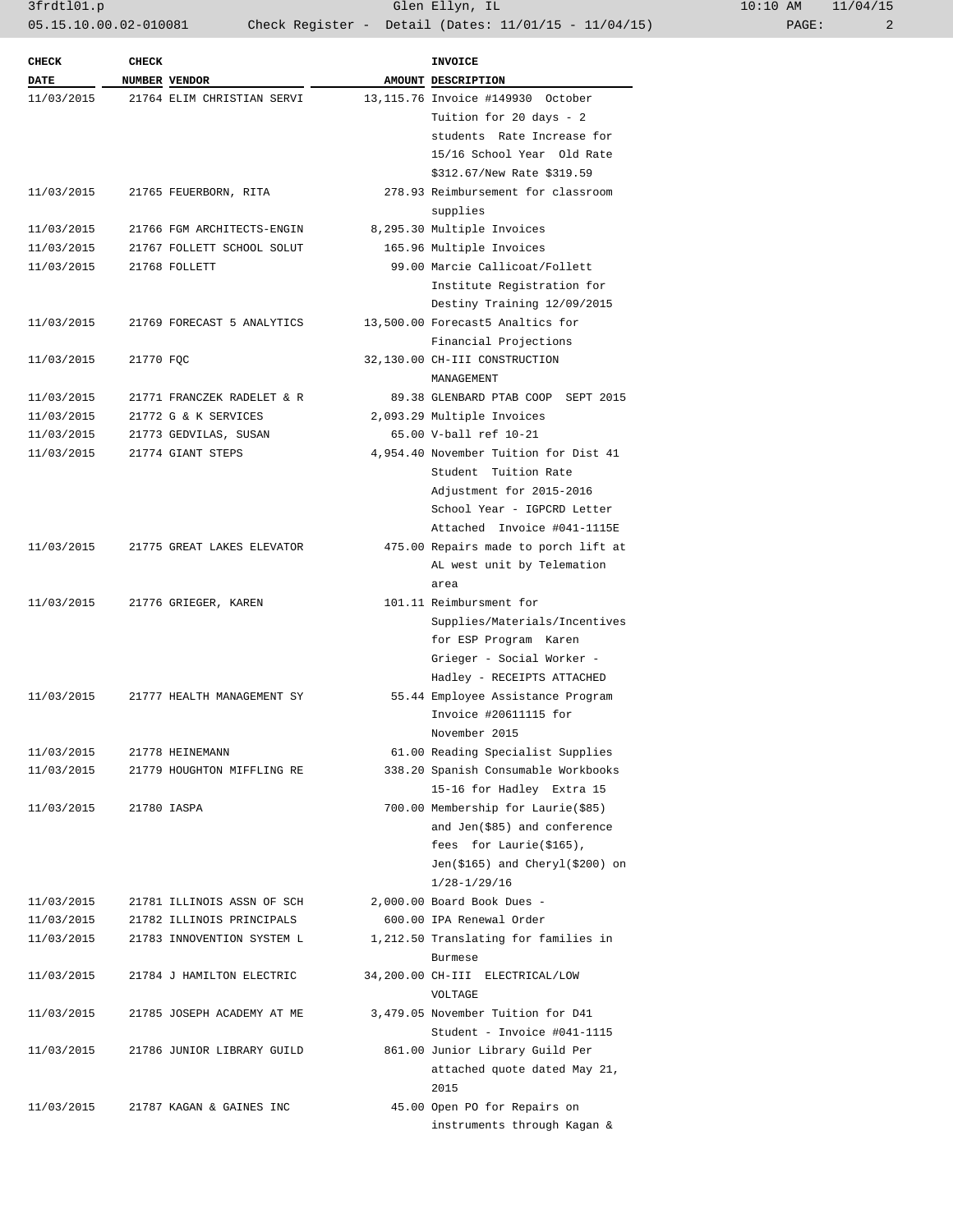| <b>CHECK</b> | <b>CHECK</b> |                                       | <b>INVOICE</b>                        |
|--------------|--------------|---------------------------------------|---------------------------------------|
| <b>DATE</b>  |              | NUMBER VENDOR                         | AMOUNT DESCRIPTION                    |
| 11/03/2015   |              | 21764 ELIM CHRISTIAN SERVI            | 13,115.76 Invoice #149930 October     |
|              |              |                                       | Tuition for 20 days - 2               |
|              |              |                                       | students Rate Increase for            |
|              |              |                                       | 15/16 School Year Old Rate            |
|              |              |                                       | \$312.67/New Rate \$319.59            |
| 11/03/2015   |              | 21765 FEUERBORN, RITA                 | 278.93 Reimbursement for classroom    |
|              |              |                                       | supplies                              |
| 11/03/2015   |              | 21766 FGM ARCHITECTS-ENGIN            | 8,295.30 Multiple Invoices            |
| 11/03/2015   |              | 21767 FOLLETT SCHOOL SOLUT            | 165.96 Multiple Invoices              |
| 11/03/2015   |              | 21768 FOLLETT                         | 99.00 Marcie Callicoat/Follett        |
|              |              |                                       | Institute Registration for            |
|              |              |                                       | Destiny Training 12/09/2015           |
| 11/03/2015   |              | 21769 FORECAST 5 ANALYTICS            | 13,500.00 Forecast5 Analtics for      |
|              |              |                                       | Financial Projections                 |
| 11/03/2015   | 21770 FQC    |                                       | 32,130.00 CH-III CONSTRUCTION         |
|              |              |                                       | MANAGEMENT                            |
| 11/03/2015   |              | 21771 FRANCZEK RADELET & R            | 89.38 GLENBARD PTAB COOP SEPT 2015    |
| 11/03/2015   |              | 21772 G & K SERVICES                  | 2,093.29 Multiple Invoices            |
| 11/03/2015   |              | 21773 GEDVILAS, SUSAN                 | 65.00 V-ball ref 10-21                |
| 11/03/2015   |              | 21774 GIANT STEPS                     | 4,954.40 November Tuition for Dist 41 |
|              |              |                                       | Student Tuition Rate                  |
|              |              |                                       | Adjustment for 2015-2016              |
|              |              |                                       | School Year - IGPCRD Letter           |
|              |              |                                       | Attached Invoice #041-1115E           |
|              |              | 11/03/2015 21775 GREAT LAKES ELEVATOR | 475.00 Repairs made to porch lift at  |
|              |              |                                       | AL west unit by Telemation            |
|              |              |                                       | area                                  |
| 11/03/2015   |              | 21776 GRIEGER, KAREN                  | 101.11 Reimbursment for               |
|              |              |                                       | Supplies/Materials/Incentives         |
|              |              |                                       | for ESP Program Karen                 |
|              |              |                                       | Grieger - Social Worker -             |
|              |              |                                       | Hadley - RECEIPTS ATTACHED            |
| 11/03/2015   |              | 21777 HEALTH MANAGEMENT SY            | 55.44 Employee Assistance Program     |
|              |              |                                       | Invoice #20611115 for                 |
|              |              |                                       | November 2015                         |
| 11/03/2015   |              | 21778 HEINEMANN                       | 61.00 Reading Specialist Supplies     |
| 11/03/2015   |              | 21779 HOUGHTON MIFFLING RE            | 338.20 Spanish Consumable Workbooks   |
|              |              |                                       | 15-16 for Hadley Extra 15             |
| 11/03/2015   |              | 21780 IASPA                           | 700.00 Membership for Laurie(\$85)    |
|              |              |                                       | and Jen(\$85) and conference          |
|              |              |                                       | fees for Laurie(\$165),               |
|              |              |                                       | $Jen(\$165)$ and $Chery1(\$200)$ on   |
|              |              |                                       | $1/28 - 1/29/16$                      |
| 11/03/2015   |              | 21781 ILLINOIS ASSN OF SCH            | 2,000.00 Board Book Dues -            |
| 11/03/2015   |              | 21782 ILLINOIS PRINCIPALS             | 600.00 IPA Renewal Order              |
| 11/03/2015   |              | 21783 INNOVENTION SYSTEM L            | 1,212.50 Translating for families in  |
|              |              |                                       | Burmese                               |
| 11/03/2015   |              | 21784 J HAMILTON ELECTRIC             | 34,200.00 CH-III ELECTRICAL/LOW       |
|              |              |                                       | VOLTAGE                               |
| 11/03/2015   |              | 21785 JOSEPH ACADEMY AT ME            | 3,479.05 November Tuition for D41     |
|              |              |                                       | Student - Invoice #041-1115           |
| 11/03/2015   |              | 21786 JUNIOR LIBRARY GUILD            | 861.00 Junior Library Guild Per       |
|              |              |                                       | attached quote dated May 21,          |
|              |              |                                       | 2015                                  |
| 11/03/2015   |              | 21787 KAGAN & GAINES INC              | 45.00 Open PO for Repairs on          |
|              |              |                                       | instruments through Kagan &           |
|              |              |                                       |                                       |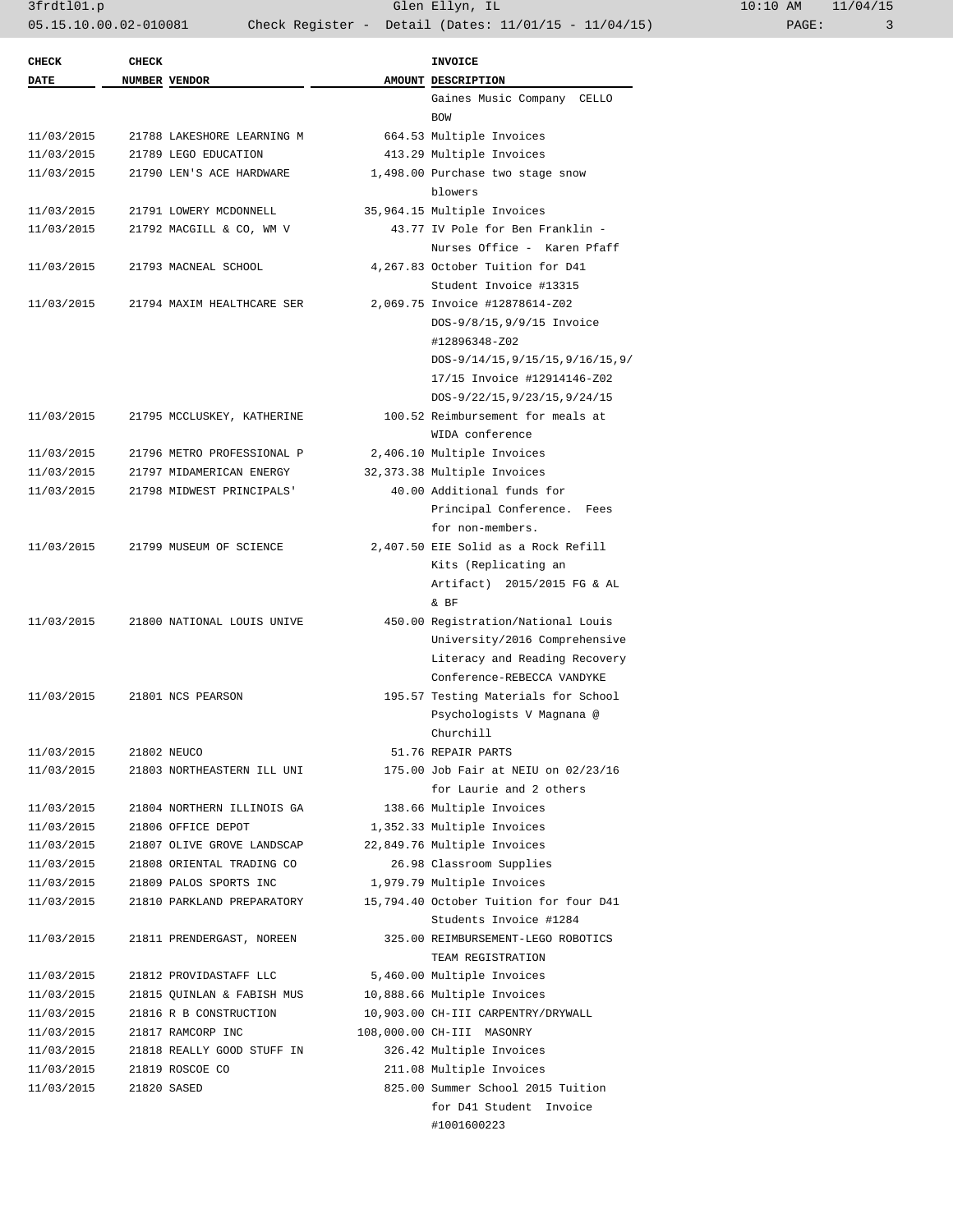3frdtl01.p Glen Ellyn, IL 10:10 AM 11/04/15 05.15.10.00.02-010081 Check Register - Detail (Dates: 11/01/15 - 11/04/15) PAGE: 3

| <b>CHECK</b> | <b>CHECK</b> |                            | <b>INVOICE</b>                         |
|--------------|--------------|----------------------------|----------------------------------------|
| <b>DATE</b>  |              | NUMBER VENDOR              | AMOUNT DESCRIPTION                     |
|              |              |                            | Gaines Music Company CELLO             |
|              |              |                            | <b>BOW</b>                             |
| 11/03/2015   |              | 21788 LAKESHORE LEARNING M | 664.53 Multiple Invoices               |
| 11/03/2015   |              | 21789 LEGO EDUCATION       | 413.29 Multiple Invoices               |
| 11/03/2015   |              | 21790 LEN'S ACE HARDWARE   | 1,498.00 Purchase two stage snow       |
|              |              |                            | blowers                                |
| 11/03/2015   |              | 21791 LOWERY MCDONNELL     | 35,964.15 Multiple Invoices            |
| 11/03/2015   |              | 21792 MACGILL & CO, WM V   | 43.77 IV Pole for Ben Franklin -       |
|              |              |                            | Nurses Office - Karen Pfaff            |
| 11/03/2015   |              | 21793 MACNEAL SCHOOL       | 4,267.83 October Tuition for D41       |
|              |              |                            | Student Invoice #13315                 |
| 11/03/2015   |              | 21794 MAXIM HEALTHCARE SER | 2,069.75 Invoice #12878614-Z02         |
|              |              |                            | DOS-9/8/15, 9/9/15 Invoice             |
|              |              |                            | #12896348-Z02                          |
|              |              |                            | DOS-9/14/15, 9/15/15, 9/16/15, 9/      |
|              |              |                            | 17/15 Invoice #12914146-Z02            |
|              |              |                            | DOS-9/22/15, 9/23/15, 9/24/15          |
| 11/03/2015   |              | 21795 MCCLUSKEY, KATHERINE | 100.52 Reimbursement for meals at      |
|              |              |                            | WIDA conference                        |
| 11/03/2015   |              | 21796 METRO PROFESSIONAL P | 2,406.10 Multiple Invoices             |
| 11/03/2015   |              | 21797 MIDAMERICAN ENERGY   | 32,373.38 Multiple Invoices            |
| 11/03/2015   |              | 21798 MIDWEST PRINCIPALS'  | 40.00 Additional funds for             |
|              |              |                            | Principal Conference. Fees             |
|              |              |                            | for non-members.                       |
| 11/03/2015   |              | 21799 MUSEUM OF SCIENCE    | 2,407.50 EIE Solid as a Rock Refill    |
|              |              |                            | Kits (Replicating an                   |
|              |              |                            | Artifact) 2015/2015 FG & AL            |
|              |              |                            | &BF                                    |
| 11/03/2015   |              | 21800 NATIONAL LOUIS UNIVE | 450.00 Registration/National Louis     |
|              |              |                            | University/2016 Comprehensive          |
|              |              |                            | Literacy and Reading Recovery          |
|              |              |                            | Conference-REBECCA VANDYKE             |
| 11/03/2015   |              | 21801 NCS PEARSON          | 195.57 Testing Materials for School    |
|              |              |                            | Psychologists V Magnana @              |
|              |              |                            | Churchill                              |
| 11/03/2015   |              | 21802 NEUCO                | 51.76 REPAIR PARTS                     |
| 11/03/2015   |              | 21803 NORTHEASTERN ILL UNI | 175.00 Job Fair at NEIU on 02/23/16    |
|              |              |                            | for Laurie and 2 others                |
| 11/03/2015   |              | 21804 NORTHERN ILLINOIS GA | 138.66 Multiple Invoices               |
| 11/03/2015   |              | 21806 OFFICE DEPOT         | 1,352.33 Multiple Invoices             |
| 11/03/2015   |              | 21807 OLIVE GROVE LANDSCAP | 22,849.76 Multiple Invoices            |
| 11/03/2015   |              | 21808 ORIENTAL TRADING CO  | 26.98 Classroom Supplies               |
| 11/03/2015   |              | 21809 PALOS SPORTS INC     | 1,979.79 Multiple Invoices             |
| 11/03/2015   |              | 21810 PARKLAND PREPARATORY | 15,794.40 October Tuition for four D41 |
|              |              |                            | Students Invoice #1284                 |
| 11/03/2015   |              | 21811 PRENDERGAST, NOREEN  | 325.00 REIMBURSEMENT-LEGO ROBOTICS     |
|              |              |                            |                                        |
|              |              |                            | TEAM REGISTRATION                      |
| 11/03/2015   |              | 21812 PROVIDASTAFF LLC     | 5,460.00 Multiple Invoices             |
| 11/03/2015   |              | 21815 QUINLAN & FABISH MUS | 10,888.66 Multiple Invoices            |
| 11/03/2015   |              | 21816 R B CONSTRUCTION     | 10,903.00 CH-III CARPENTRY/DRYWALL     |
| 11/03/2015   |              | 21817 RAMCORP INC          | 108,000.00 CH-III MASONRY              |
| 11/03/2015   |              | 21818 REALLY GOOD STUFF IN | 326.42 Multiple Invoices               |
| 11/03/2015   |              | 21819 ROSCOE CO            | 211.08 Multiple Invoices               |
| 11/03/2015   |              | 21820 SASED                | 825.00 Summer School 2015 Tuition      |
|              |              |                            | for D41 Student Invoice                |
|              |              |                            | #1001600223                            |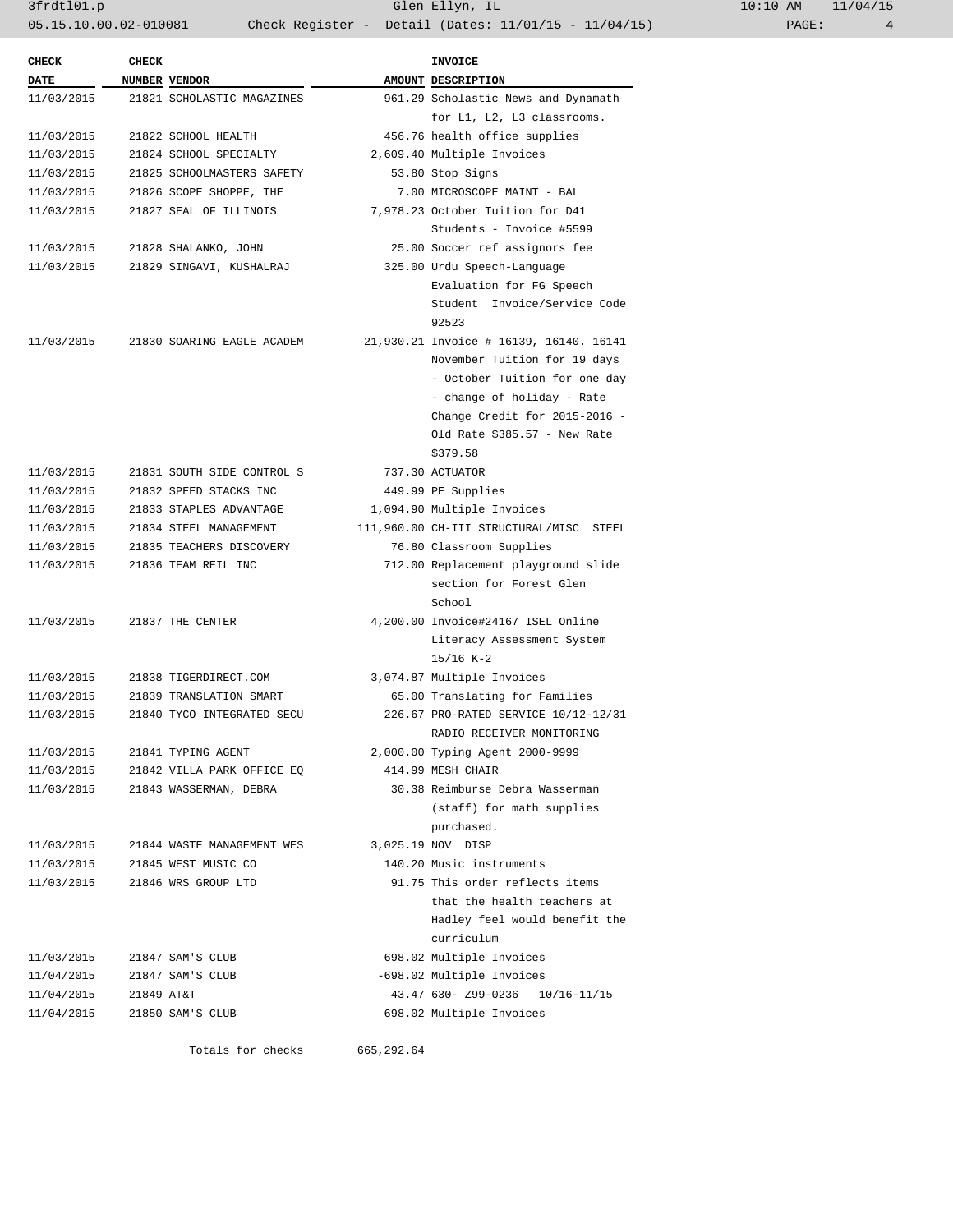3frdtl01.p Glen Ellyn, IL 10:10 AM 11/04/15 05.15.10.00.02-010081 Check Register - Detail (Dates: 11/01/15 - 11/04/15)

| <b>CHECK</b> | <b>CHECK</b> |                            | INVOICE                                 |
|--------------|--------------|----------------------------|-----------------------------------------|
| <b>DATE</b>  |              | NUMBER VENDOR              | AMOUNT DESCRIPTION                      |
| 11/03/2015   |              | 21821 SCHOLASTIC MAGAZINES | 961.29 Scholastic News and Dynamath     |
|              |              |                            | for L1, L2, L3 classrooms.              |
| 11/03/2015   |              | 21822 SCHOOL HEALTH        | 456.76 health office supplies           |
| 11/03/2015   |              | 21824 SCHOOL SPECIALTY     | 2,609.40 Multiple Invoices              |
| 11/03/2015   |              | 21825 SCHOOLMASTERS SAFETY | 53.80 Stop Signs                        |
| 11/03/2015   |              | 21826 SCOPE SHOPPE, THE    | 7.00 MICROSCOPE MAINT - BAL             |
| 11/03/2015   |              | 21827 SEAL OF ILLINOIS     | 7,978.23 October Tuition for D41        |
|              |              |                            | Students - Invoice #5599                |
| 11/03/2015   |              | 21828 SHALANKO, JOHN       | 25.00 Soccer ref assignors fee          |
| 11/03/2015   |              | 21829 SINGAVI, KUSHALRAJ   | 325.00 Urdu Speech-Language             |
|              |              |                            | Evaluation for FG Speech                |
|              |              |                            | Student Invoice/Service Code            |
|              |              |                            | 92523                                   |
| 11/03/2015   |              | 21830 SOARING EAGLE ACADEM | 21,930.21 Invoice # 16139, 16140. 16141 |
|              |              |                            | November Tuition for 19 days            |
|              |              |                            | - October Tuition for one day           |
|              |              |                            | - change of holiday - Rate              |
|              |              |                            | Change Credit for 2015-2016 -           |
|              |              |                            | Old Rate \$385.57 - New Rate            |
|              |              |                            | \$379.58                                |
| 11/03/2015   |              | 21831 SOUTH SIDE CONTROL S | 737.30 ACTUATOR                         |
| 11/03/2015   |              | 21832 SPEED STACKS INC     | 449.99 PE Supplies                      |
| 11/03/2015   |              | 21833 STAPLES ADVANTAGE    | 1,094.90 Multiple Invoices              |
| 11/03/2015   |              | 21834 STEEL MANAGEMENT     | 111,960.00 CH-III STRUCTURAL/MISC STEEL |
| 11/03/2015   |              | 21835 TEACHERS DISCOVERY   | 76.80 Classroom Supplies                |
| 11/03/2015   |              | 21836 TEAM REIL INC        | 712.00 Replacement playground slide     |
|              |              |                            | section for Forest Glen                 |
|              |              |                            | School                                  |
| 11/03/2015   |              | 21837 THE CENTER           | 4,200.00 Invoice#24167 ISEL Online      |
|              |              |                            | Literacy Assessment System              |
|              |              |                            | $15/16 K-2$                             |
| 11/03/2015   |              | 21838 TIGERDIRECT.COM      | 3,074.87 Multiple Invoices              |
| 11/03/2015   |              | 21839 TRANSLATION SMART    | 65.00 Translating for Families          |
| 11/03/2015   |              | 21840 TYCO INTEGRATED SECU | 226.67 PRO-RATED SERVICE 10/12-12/31    |
|              |              |                            | RADIO RECEIVER MONITORING               |
| 11/03/2015   |              | 21841 TYPING AGENT         | 2,000.00 Typing Agent 2000-9999         |
| 11/03/2015   |              | 21842 VILLA PARK OFFICE EO | 414.99 MESH CHAIR                       |
| 11/03/2015   |              | 21843 WASSERMAN, DEBRA     | 30.38 Reimburse Debra Wasserman         |
|              |              |                            | (staff) for math supplies               |
|              |              |                            | purchased.                              |
| 11/03/2015   |              | 21844 WASTE MANAGEMENT WES | 3,025.19 NOV DISP                       |
| 11/03/2015   |              | 21845 WEST MUSIC CO        | 140.20 Music instruments                |
| 11/03/2015   |              | 21846 WRS GROUP LTD        | 91.75 This order reflects items         |
|              |              |                            | that the health teachers at             |
|              |              |                            | Hadley feel would benefit the           |
|              |              |                            | curriculum                              |
| 11/03/2015   |              | 21847 SAM'S CLUB           | 698.02 Multiple Invoices                |
| 11/04/2015   |              | 21847 SAM'S CLUB           | -698.02 Multiple Invoices               |
| 11/04/2015   | 21849 AT&T   |                            | 43.47 630- Z99-0236<br>10/16-11/15      |
| 11/04/2015   |              | 21850 SAM'S CLUB           | 698.02 Multiple Invoices                |
|              |              |                            |                                         |
|              |              |                            |                                         |

Totals for checks 665,292.64